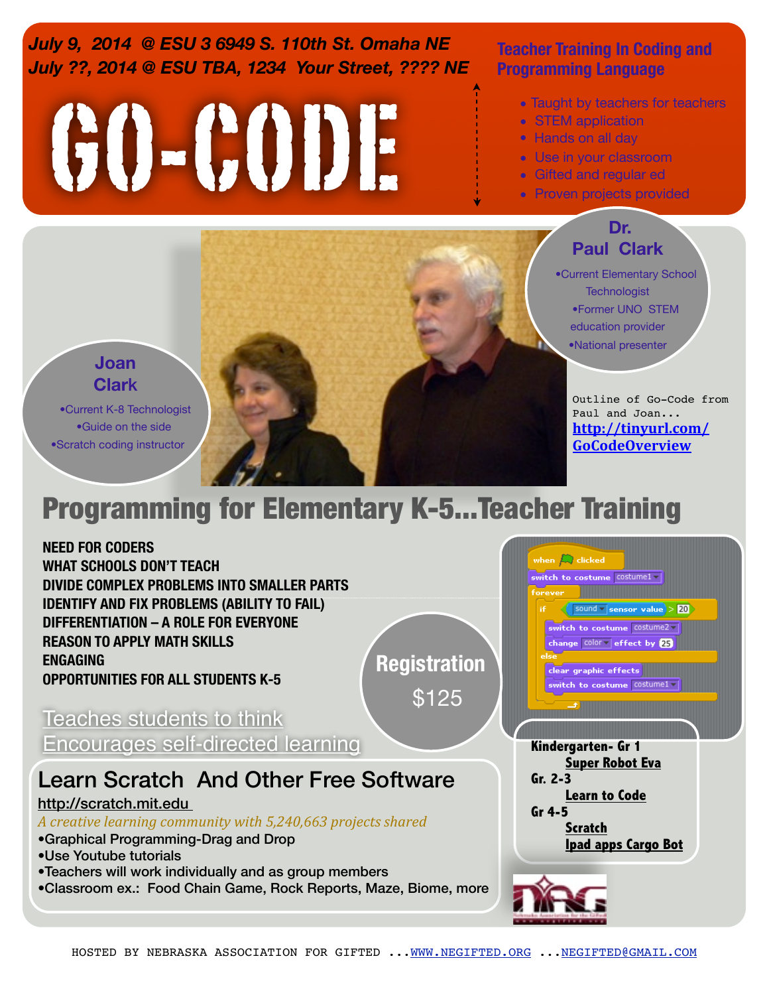*July 9, 2014 @ ESU 3 6949 S. 110th St. Omaha NE July ??, 2014 @ ESU TBA, 1234 Your Street, ???? NE* **Teacher Training In Coding and** 

# GO-CODE

## **Programming Language**

- Taught by teachers for teachers
- STEM application
- Hands on all day
- Use in your classroom
- Gifted and regular ed
- Proven projects provided

#### **Dr. Paul Clark**

j

•Current Elementary School **Technologist** •Former UNO STEM education provider •National presenter

**Super Robot Eva**

**Ipad apps Cargo Bot**

**Learn to Code**

**Scratch**

**Gr. 2-3**

when  $\Box$  clicked

switch to costume costume1 =

clear graphic effects switch to costume costume1 -

 $\sqrt{\left|\textrm{sound}\right|}$  sensor value  $> 20$ switch to costume costume2 change color v effect by 25

**Gr 4-5**

Outline of Go-Code from Paul and Joan... **[http://tinyurl.com/](http://tinyurl.com/GoCodeOverview) [GoCodeOverview](http://tinyurl.com/GoCodeOverview)**

## **Joan Clar**k

•Current K-8 Technologist •Guide on the side •Scratch coding instructor

## Programming for Elementary K-5...Teacher Training

**NEED FOR CODERS WHAT SCHOOLS DON'T TEACH DIVIDE COMPLEX PROBLEMS INTO SMALLER PARTS IDENTIFY AND FIX PROBLEMS (ABILITY TO FAIL) DIFFERENTIATION – A ROLE FOR EVERYONE REASON TO APPLY MATH SKILLS**

**OPPORTUNITIES FOR ALL STUDENTS K-5**

**Registration**

\$125

Teaches students to think Encourages self-directed learning **Kindergarten- Gr 1** 

## Learn Scratch And Other Free Software

#### http://scratch.mit.edu

**ENGAGING**

*A creative learning community with 5,240,663 projects shared*

- •Graphical Programming-Drag and Drop
- •Use Youtube tutorials
- •Teachers will work individually and as group members
- •Classroom ex.: Food Chain Game, Rock Reports, Maze, Biome, more